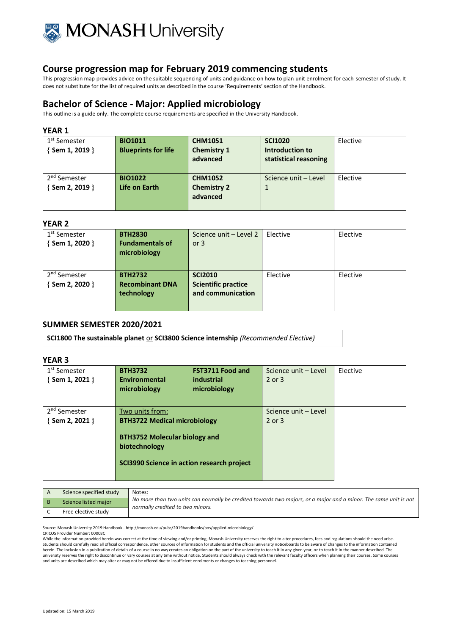

This progression map provides advice on the suitable sequencing of units and guidance on how to plan unit enrolment for each semester of study. It does not substitute for the list of required units as described in the course 'Requirements' section of the Handbook.

# **Bachelor of Science - Major: Applied microbiology**

This outline is a guide only. The complete course requirements are specified in the University Handbook.

### **YEAR 1**

| 1 <sup>st</sup> Semester<br>Sem 1, 2019 } | <b>BIO1011</b><br><b>Blueprints for life</b> | <b>CHM1051</b><br><b>Chemistry 1</b><br>advanced | <b>SCI1020</b><br>Introduction to<br>statistical reasoning | Elective |
|-------------------------------------------|----------------------------------------------|--------------------------------------------------|------------------------------------------------------------|----------|
| 2 <sup>nd</sup> Semester<br>Sem 2, 2019 } | <b>BIO1022</b><br>Life on Earth              | <b>CHM1052</b><br><b>Chemistry 2</b><br>advanced | Science unit - Level                                       | Elective |

# **YEAR 2**

| 1 <sup>st</sup> Semester | <b>BTH2830</b>         | Science unit - Level 2     | Elective | Elective |
|--------------------------|------------------------|----------------------------|----------|----------|
| {Sem 1, 2020 }           | <b>Fundamentals of</b> | or $3$                     |          |          |
|                          | microbiology           |                            |          |          |
|                          |                        |                            |          |          |
| 2 <sup>nd</sup> Semester | <b>BTH2732</b>         | <b>SCI2010</b>             | Elective | Elective |
| Sem 2, 2020 }            | <b>Recombinant DNA</b> | <b>Scientific practice</b> |          |          |
|                          | technology             | and communication          |          |          |
|                          |                        |                            |          |          |

# **SUMMER SEMESTER 2020/2021**

**SCI1800 The sustainable planet** or **SCI3800 Science internship** *(Recommended Elective)*

### **YEAR 3**

| 1 <sup>st</sup> Semester<br>$\{$ Sem 1, 2021 $\}$ | <b>BTH3732</b><br>Environmental<br>microbiology                                              | <b>FST3711 Food and</b><br>industrial<br>microbiology | Science unit - Level<br>2 or 3 | Elective |
|---------------------------------------------------|----------------------------------------------------------------------------------------------|-------------------------------------------------------|--------------------------------|----------|
| 2 <sup>nd</sup> Semester                          | Two units from:                                                                              |                                                       | Science unit - Level           |          |
| $\{$ Sem 2, 2021 $\}$                             | <b>BTH3722 Medical microbiology</b><br><b>BTH3752 Molecular biology and</b><br>biotechnology |                                                       | 2 or 3                         |          |
|                                                   | SCI3990 Science in action research project                                                   |                                                       |                                |          |

|  | Science specified study | Notes:                                                                                                                                               |
|--|-------------------------|------------------------------------------------------------------------------------------------------------------------------------------------------|
|  | Science listed major    | No more than two units can normally be credited towards two majors, or a major and a minor. The same unit is not<br>normally credited to two minors. |
|  | Free elective study     |                                                                                                                                                      |

Source: Monash University 2019 Handbook - http://monash.edu/pubs/2019handbooks/aos/applied-microbiology/

CRICOS Provider Number: 00008C

While the information provided herein was correct at the time of viewing and/or printing, Monash University reserves the right to alter procedures, fees and regulations should the need arise.<br>Students should carefully read herein. The inclusion in a publication of details of a course in no way creates an obligation on the part of the university to teach it in any given year, or to teach it in the manner described. The university reserves the right to discontinue or vary courses at any time without notice. Students should always check with the relevant faculty officers when planning their courses. Some courses and units are described which may alter or may not be offered due to insufficient enrolments or changes to teaching personnel.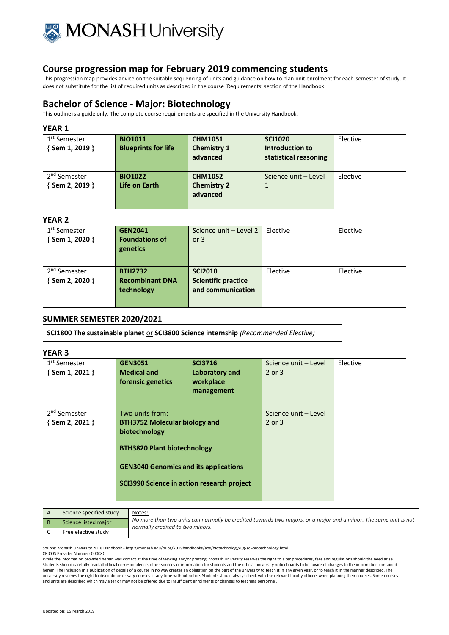

This progression map provides advice on the suitable sequencing of units and guidance on how to plan unit enrolment for each semester of study. It does not substitute for the list of required units as described in the course 'Requirements' section of the Handbook.

# **Bachelor of Science - Major: Biotechnology**

This outline is a guide only. The complete course requirements are specified in the University Handbook.

### **YEAR 1**

| 1 <sup>st</sup> Semester<br>$\{$ Sem 1, 2019 $\}$ | <b>BIO1011</b><br><b>Blueprints for life</b> | <b>CHM1051</b><br><b>Chemistry 1</b><br>advanced | <b>SCI1020</b><br>Introduction to<br>statistical reasoning | Elective |
|---------------------------------------------------|----------------------------------------------|--------------------------------------------------|------------------------------------------------------------|----------|
| 2 <sup>nd</sup> Semester                          | <b>BIO1022</b>                               | <b>CHM1052</b>                                   | Science unit - Level                                       | Elective |
| { Sem 2, 2019 }                                   | Life on Earth                                | <b>Chemistry 2</b>                               |                                                            |          |
|                                                   |                                              | advanced                                         |                                                            |          |
|                                                   |                                              |                                                  |                                                            |          |

# **YEAR 2**

| 1 <sup>st</sup> Semester<br>Sem 1, 2020 } | <b>GEN2041</b><br><b>Foundations of</b><br>genetics    | Science unit - Level 2<br>or $3$                                  | Elective | Elective |
|-------------------------------------------|--------------------------------------------------------|-------------------------------------------------------------------|----------|----------|
| 2 <sup>nd</sup> Semester<br>Sem 2, 2020 } | <b>BTH2732</b><br><b>Recombinant DNA</b><br>technology | <b>SCI2010</b><br><b>Scientific practice</b><br>and communication | Elective | Elective |

# **SUMMER SEMESTER 2020/2021**

**SCI1800 The sustainable planet** or **SCI3800 Science internship** *(Recommended Elective)*

# **YEAR 3**

| 1 <sup>st</sup> Semester<br>{Sem 1, 2021 } | <b>GEN3051</b><br><b>Medical and</b><br>forensic genetics                                                                                         | <b>SCI3716</b><br>Laboratory and<br>workplace<br>management | Science unit - Level<br>2 or 3 | Elective |
|--------------------------------------------|---------------------------------------------------------------------------------------------------------------------------------------------------|-------------------------------------------------------------|--------------------------------|----------|
| 2 <sup>nd</sup> Semester                   | Two units from:                                                                                                                                   |                                                             | Science unit - Level           |          |
| $\{$ Sem 2, 2021 $\}$                      | <b>BTH3752 Molecular biology and</b>                                                                                                              |                                                             | 2 or 3                         |          |
|                                            | biotechnology<br><b>BTH3820 Plant biotechnology</b><br><b>GEN3040 Genomics and its applications</b><br>SCI3990 Science in action research project |                                                             |                                |          |

| Science specified study | Notes:                                                                                                                                               |
|-------------------------|------------------------------------------------------------------------------------------------------------------------------------------------------|
| Science listed major    | No more than two units can normally be credited towards two majors, or a major and a minor. The same unit is not<br>normally credited to two minors. |
| Free elective study     |                                                                                                                                                      |

Source: Monash University 2018 Handbook - http://monash.edu/pubs/2019handbooks/aos/biotechnology/ug-sci-biotechnology.html

CRICOS Provider Number: 00008C

While the information provided herein was correct at the time of viewing and/or printing, Monash University reserves the right to alter procedures, fees and regulations should the need arise. Students should carefully read all official correspondence, other sources of information for students and the official university noticeboards to be aware of changes to the information contained herein. The inclusion in a publication of details of a course in no way creates an obligation on the part of the university to teach it in any given year, or to teach it in the manner described. The university reserves the right to discontinue or vary courses at any time without notice. Students should always check with the relevant faculty officers when planning their courses. Some courses and units are described which may alter or may not be offered due to insufficient enrolments or changes to teaching personnel.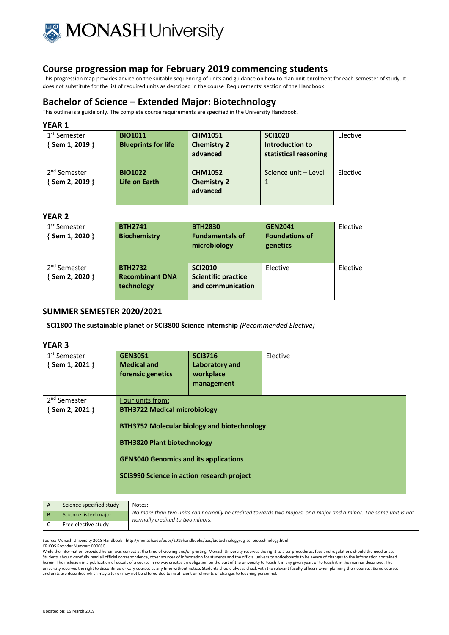

This progression map provides advice on the suitable sequencing of units and guidance on how to plan unit enrolment for each semester of study. It does not substitute for the list of required units as described in the course 'Requirements' section of the Handbook.

# **Bachelor of Science – Extended Major: Biotechnology**

This outline is a guide only. The complete course requirements are specified in the University Handbook.

#### **YEAR 1**

| 1 <sup>st</sup> Semester | <b>BIO1011</b>             | <b>CHM1051</b>     | <b>SCI1020</b>        | Elective |
|--------------------------|----------------------------|--------------------|-----------------------|----------|
| {Sem 1, 2019 }           | <b>Blueprints for life</b> | <b>Chemistry 2</b> | Introduction to       |          |
|                          |                            | advanced           | statistical reasoning |          |
|                          |                            |                    |                       |          |
| 2 <sup>nd</sup> Semester | <b>BIO1022</b>             | <b>CHM1052</b>     | Science unit - Level  | Elective |
| $\{$ Sem 2, 2019 $\}$    | Life on Earth              | <b>Chemistry 2</b> |                       |          |
|                          |                            | advanced           |                       |          |
|                          |                            |                    |                       |          |

#### **YEAR 2**

| 1 <sup>st</sup> Semester<br>{Sem 1, 2020 } | <b>BTH2741</b><br><b>Biochemistry</b>                  | <b>BTH2830</b><br><b>Fundamentals of</b><br>microbiology          | <b>GEN2041</b><br><b>Foundations of</b><br>genetics | Elective |
|--------------------------------------------|--------------------------------------------------------|-------------------------------------------------------------------|-----------------------------------------------------|----------|
| 2 <sup>nd</sup> Semester<br>{Sem 2, 2020 } | <b>BTH2732</b><br><b>Recombinant DNA</b><br>technology | <b>SCI2010</b><br><b>Scientific practice</b><br>and communication | Elective                                            | Elective |

### **SUMMER SEMESTER 2020/2021**

**SCI1800 The sustainable planet** or **SCI3800 Science internship** *(Recommended Elective)*

### **YEAR 3**

| 1 <sup>st</sup> Semester<br>{Sem 1, 2021 } | <b>GEN3051</b><br><b>Medical and</b><br>forensic genetics                                                                                                               | <b>SCI3716</b><br>Laboratory and<br>workplace<br>management | Elective |  |
|--------------------------------------------|-------------------------------------------------------------------------------------------------------------------------------------------------------------------------|-------------------------------------------------------------|----------|--|
| 2 <sup>nd</sup> Semester                   | Four units from:                                                                                                                                                        |                                                             |          |  |
| $\{$ Sem 2, 2021 $\}$                      | <b>BTH3722 Medical microbiology</b><br><b>BTH3820 Plant biotechnology</b><br><b>GEN3040 Genomics and its applications</b><br>SCI3990 Science in action research project | <b>BTH3752 Molecular biology and biotechnology</b>          |          |  |

| Science specified study | Notes:                                                                                                                                               |
|-------------------------|------------------------------------------------------------------------------------------------------------------------------------------------------|
| Science listed major    | No more than two units can normally be credited towards two majors, or a major and a minor. The same unit is not<br>normally credited to two minors. |
| Free elective study     |                                                                                                                                                      |

Source: Monash University 2018 Handbook - http://monash.edu/pubs/2019handbooks/aos/biotechnology/ug-sci-biotechnology.html

CRICOS Provider Number: 00008C

While the information provided herein was correct at the time of viewing and/or printing, Monash University reserves the right to alter procedures, fees and regulations should the need arise.<br>Students should carefully read herein. The inclusion in a publication of details of a course in no way creates an obligation on the part of the university to teach it in any given year, or to teach it in the manner described. The university reserves the right to discontinue or vary courses at any time without notice. Students should always check with the relevant faculty officers when planning their courses. Some courses<br>and units are described whi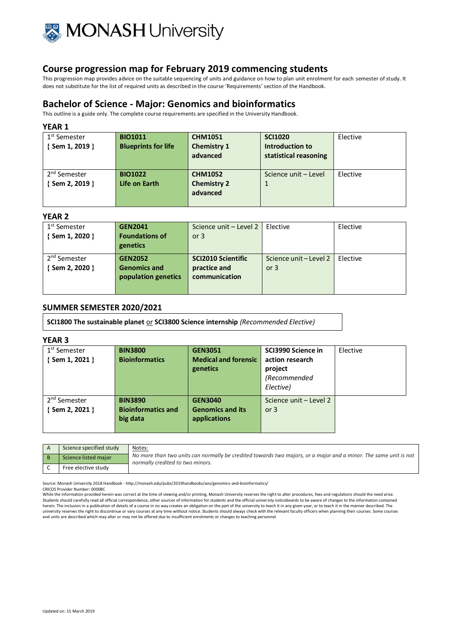

This progression map provides advice on the suitable sequencing of units and guidance on how to plan unit enrolment for each semester of study. It does not substitute for the list of required units as described in the course 'Requirements' section of the Handbook.

# **Bachelor of Science - Major: Genomics and bioinformatics**

This outline is a guide only. The complete course requirements are specified in the University Handbook.

### **YEAR 1**

| 1 <sup>st</sup> Semester<br>$\{$ Sem 1, 2019 $\}$ | <b>BIO1011</b><br><b>Blueprints for life</b> | <b>CHM1051</b><br><b>Chemistry 1</b><br>advanced | <b>SCI1020</b><br>Introduction to<br>statistical reasoning | Elective |
|---------------------------------------------------|----------------------------------------------|--------------------------------------------------|------------------------------------------------------------|----------|
| 2 <sup>nd</sup> Semester<br>$\{$ Sem 2, 2019 $\}$ | <b>BIO1022</b><br>Life on Earth              | <b>CHM1052</b><br><b>Chemistry 2</b><br>advanced | Science unit - Level                                       | Elective |

#### **YEAR 2**

| 1 <sup>st</sup> Semester<br>Sem 1, 2020 } | <b>GEN2041</b><br><b>Foundations of</b> | Science unit - Level 2<br>or $3$ | Elective               | Elective |
|-------------------------------------------|-----------------------------------------|----------------------------------|------------------------|----------|
|                                           | genetics                                |                                  |                        |          |
| 2 <sup>nd</sup> Semester                  | <b>GEN2052</b>                          | <b>SCI2010 Scientific</b>        | Science unit – Level 2 | Elective |
| Sem 2, 2020 }                             | <b>Genomics and</b>                     | practice and                     | or $3$                 |          |
|                                           | population genetics                     | communication                    |                        |          |
|                                           |                                         |                                  |                        |          |

# **SUMMER SEMESTER 2020/2021**

**SCI1800 The sustainable planet** or **SCI3800 Science internship** *(Recommended Elective)*

#### **YEAR 3**

| 1 <sup>st</sup> Semester | <b>BIN3800</b>            | <b>GEN3051</b>              | SCI3990 Science in     | Elective |
|--------------------------|---------------------------|-----------------------------|------------------------|----------|
| {Sem 1, 2021 }           | <b>Bioinformatics</b>     | <b>Medical and forensic</b> | action research        |          |
|                          |                           | genetics                    | project                |          |
|                          |                           |                             | (Recommended           |          |
|                          |                           |                             | Elective)              |          |
| 2 <sup>nd</sup> Semester | <b>BIN3890</b>            | <b>GEN3040</b>              | Science unit - Level 2 |          |
| $\{$ Sem 2, 2021 $\}$    | <b>Bioinformatics and</b> | <b>Genomics and its</b>     | or $3$                 |          |
|                          | big data                  | applications                |                        |          |
|                          |                           |                             |                        |          |

| Science specified study | Notes:                                                                                                                                               |
|-------------------------|------------------------------------------------------------------------------------------------------------------------------------------------------|
| Science listed major    | No more than two units can normally be credited towards two majors, or a major and a minor. The same unit is not<br>normally credited to two minors. |
| Free elective study     |                                                                                                                                                      |

Source: Monash University 2018 Handbook - http://monash.edu/pubs/2019handbooks/aos/genomics-and-bioinformatics/

CRICOS Provider Number: 00008C

While the information provided herein was correct at the time of viewing and/or printing, Monash University reserves the right to alter procedures, fees and regulations should the need arise. Students should carefully read all official correspondence, other sources of information for students and the official university noticeboards to be aware of changes to the information contained herein. The inclusion in a publication of details of a course in no way creates an obligation on the part of the university to teach it in any given year, or to teach it in the manner described. The university reserves the right to discontinue or vary courses at any time without notice. Students should always check with the relevant faculty officers when planning their courses. Some courses<br>and units are described whi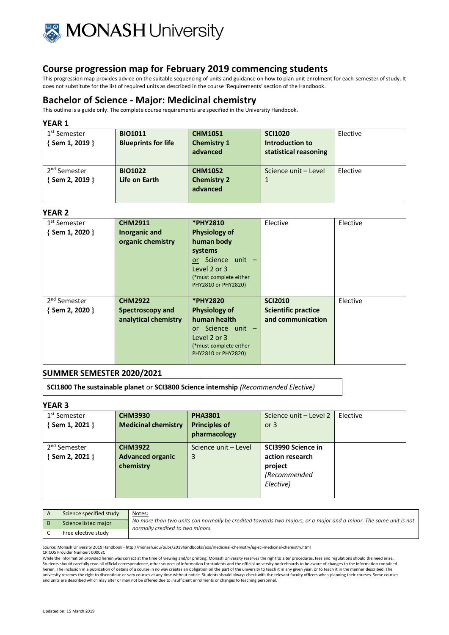

This progression map provides advice on the suitable sequencing of units and guidance on how to plan unit enrolment for each semester of study. It does not substitute for the list of required units as described in the course 'Requirements' section of the Handbook.

# **Bachelor of Science - Major: Medicinal chemistry**

This outline is a guide only. The complete course requirements are specified in the University Handbook.

### **YEAR 1**

| 1 <sup>st</sup> Semester | <b>BIO1011</b>             | <b>CHM1051</b>     | <b>SCI1020</b>        | Elective |
|--------------------------|----------------------------|--------------------|-----------------------|----------|
| {Sem 1, 2019 }           | <b>Blueprints for life</b> | <b>Chemistry 1</b> | Introduction to       |          |
|                          |                            | advanced           | statistical reasoning |          |
|                          |                            |                    |                       |          |
| 2 <sup>nd</sup> Semester | <b>BIO1022</b>             | <b>CHM1052</b>     | Science unit - Level  | Elective |
| $\{$ Sem 2, 2019 $\}$    | Life on Earth              | <b>Chemistry 2</b> |                       |          |
|                          |                            | advanced           |                       |          |
|                          |                            |                    |                       |          |

# **YEAR 2**

| 1 <sup>st</sup> Semester<br>$\{$ Sem 1, 2020 $\}$ | <b>CHM2911</b><br>Inorganic and<br>organic chemistry | *PHY2810<br><b>Physiology of</b><br>human body<br>systems<br>or Science unit -<br>Level 2 or 3<br>(*must complete either<br>PHY2810 or PHY2820) | Elective                                     | Elective |
|---------------------------------------------------|------------------------------------------------------|-------------------------------------------------------------------------------------------------------------------------------------------------|----------------------------------------------|----------|
| 2 <sup>nd</sup> Semester<br>$\{$ Sem 2, 2020 $\}$ | <b>CHM2922</b><br>Spectroscopy and                   | *PHY2820<br><b>Physiology of</b>                                                                                                                | <b>SCI2010</b><br><b>Scientific practice</b> | Elective |
|                                                   | analytical chemistry                                 | human health<br>or Science unit -<br>Level 2 or 3<br>(*must complete either<br>PHY2810 or PHY2820)                                              | and communication                            |          |

# **SUMMER SEMESTER 2020/2021**

**SCI1800 The sustainable planet** or **SCI3800 Science internship** *(Recommended Elective)*

# **YEAR 3**

| 1 <sup>st</sup> Semester | <b>CHM3930</b>             | <b>PHA3801</b>       | Science unit - Level 2 | Elective |
|--------------------------|----------------------------|----------------------|------------------------|----------|
| {Sem 1, 2021 }           | <b>Medicinal chemistry</b> | <b>Principles of</b> | or $3$                 |          |
|                          |                            | pharmacology         |                        |          |
| 2 <sup>nd</sup> Semester | <b>CHM3922</b>             | Science unit - Level | SCI3990 Science in     |          |
| $\{$ Sem 2, 2021 $\}$    | <b>Advanced organic</b>    | 3                    | action research        |          |
|                          | chemistry                  |                      | project                |          |
|                          |                            |                      | (Recommended           |          |
|                          |                            |                      | Elective)              |          |
|                          |                            |                      |                        |          |

| Science specified study | Notes:                                                                                                                                               |
|-------------------------|------------------------------------------------------------------------------------------------------------------------------------------------------|
| Science listed major    | No more than two units can normally be credited towards two majors, or a major and a minor. The same unit is not<br>normally credited to two minors. |
| Free elective study     |                                                                                                                                                      |

Source: Monash University 2019 Handbook - http://monash.edu/pubs/2019handbooks/aos/medicinal-chemistry/ug-sci-medicinal-chemistry.html

CRICOS Provider Number: 00008C

While the information provided herein was correct at the time of viewing and/or printing, Monash University reserves the right to alter procedures, fees and regulations should the need arise. Students should carefully read all official correspondence, other sources of information for students and the official university noticeboards to be aware of changes to the information contained<br>herein. The inclusion in a university reserves the right to discontinue or vary courses at any time without notice. Students should always check with the relevant faculty officers when planning their courses. Some courses and units are described which may alter or may not be offered due to insufficient enrolments or changes to teaching personnel.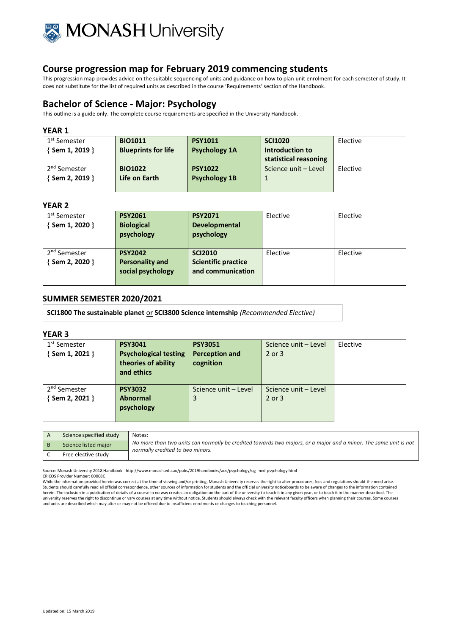

This progression map provides advice on the suitable sequencing of units and guidance on how to plan unit enrolment for each semester of study. It does not substitute for the list of required units as described in the course 'Requirements' section of the Handbook.

# **Bachelor of Science - Major: Psychology**

This outline is a guide only. The complete course requirements are specified in the University Handbook.

#### **YEAR 1**

| 1 <sup>st</sup> Semester | <b>BIO1011</b>             | <b>PSY1011</b>       | <b>SCI1020</b>        | Elective |
|--------------------------|----------------------------|----------------------|-----------------------|----------|
| { Sem 1, 2019 }          | <b>Blueprints for life</b> | <b>Psychology 1A</b> | Introduction to       |          |
|                          |                            |                      | statistical reasoning |          |
| 2 <sup>nd</sup> Semester | <b>BIO1022</b>             | <b>PSY1022</b>       | Science unit - Level  | Elective |
| { Sem 2, 2019 }          | Life on Earth              | <b>Psychology 1B</b> |                       |          |
|                          |                            |                      |                       |          |

# **YEAR 2**

| 1 <sup>st</sup> Semester<br>$\{$ Sem 1, 2020 $\}$ | <b>PSY2061</b><br><b>Biological</b><br>psychology             | <b>PSY2071</b><br><b>Developmental</b><br>psychology              | Elective | Elective |
|---------------------------------------------------|---------------------------------------------------------------|-------------------------------------------------------------------|----------|----------|
| 2 <sup>nd</sup> Semester<br>{Sem 2, 2020 }        | <b>PSY2042</b><br><b>Personality and</b><br>social psychology | <b>SCI2010</b><br><b>Scientific practice</b><br>and communication | Elective | Elective |

### **SUMMER SEMESTER 2020/2021**

**SCI1800 The sustainable planet** or **SCI3800 Science internship** *(Recommended Elective)*

#### **YEAR 3**

| 1 <sup>st</sup> Semester<br>{Sem 1, 2021 } | <b>PSY3041</b><br><b>Psychological testing</b><br>theories of ability<br>and ethics | <b>PSY3051</b><br><b>Perception and</b><br>cognition | Science unit - Level<br>2 or 3 | Elective |
|--------------------------------------------|-------------------------------------------------------------------------------------|------------------------------------------------------|--------------------------------|----------|
| 2 <sup>nd</sup> Semester                   | <b>PSY3032</b>                                                                      | Science unit - Level                                 | Science unit - Level           |          |
| $\{$ Sem 2, 2021 $\}$                      | <b>Abnormal</b>                                                                     | 3                                                    | 2 or 3                         |          |
|                                            | psychology                                                                          |                                                      |                                |          |

| Science specified study | Notes:                                                                                                                                               |
|-------------------------|------------------------------------------------------------------------------------------------------------------------------------------------------|
| Science listed major    | No more than two units can normally be credited towards two majors, or a major and a minor. The same unit is not<br>normally credited to two minors. |
| Free elective study     |                                                                                                                                                      |

Source: Monash University 2018 Handbook - http://www.monash.edu.au/pubs/2019handbooks/aos/psychology/ug-med-psychology.html

CRICOS Provider Number: 00008C

While the information provided herein was correct at the time of viewing and/or printing, Monash University reserves the right to alter procedures, fees and regulations should the need arise.<br>Students should carefully read herein. The inclusion in a publication of details of a course in no way creates an obligation on the part of the university to teach it in any given year, or to teach it in the manner described. The university reserves the right to discontinue or vary courses at any time without notice. Students should always check with the relevant faculty officers when planning their courses. Some courses and units are described which may alter or may not be offered due to insufficient enrolments or changes to teaching personnel.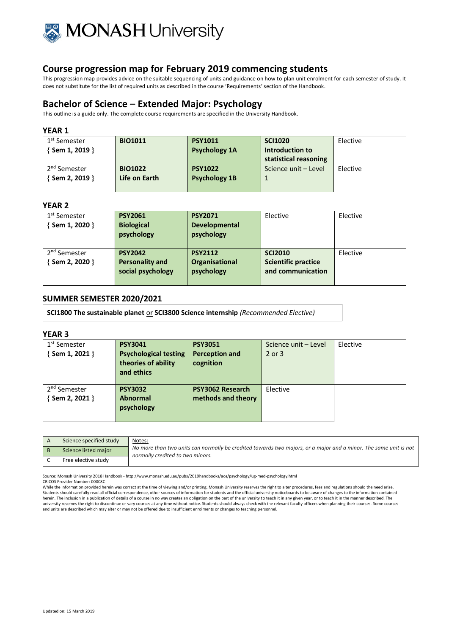

This progression map provides advice on the suitable sequencing of units and guidance on how to plan unit enrolment for each semester of study. It does not substitute for the list of required units as described in the course 'Requirements' section of the Handbook.

# **Bachelor of Science – Extended Major: Psychology**

This outline is a guide only. The complete course requirements are specified in the University Handbook.

### **YEAR 1**

| 1 <sup>st</sup> Semester | <b>BIO1011</b> | <b>PSY1011</b>       | <b>SCI1020</b>        | Elective |
|--------------------------|----------------|----------------------|-----------------------|----------|
| { Sem 1, 2019 }          |                | <b>Psychology 1A</b> | Introduction to       |          |
|                          |                |                      | statistical reasoning |          |
| 2 <sup>nd</sup> Semester | <b>BIO1022</b> | <b>PSY1022</b>       | Science unit - Level  | Elective |
| { Sem 2, 2019 }          | Life on Earth  | <b>Psychology 1B</b> |                       |          |
|                          |                |                      |                       |          |

# **YEAR 2**

| 1 <sup>st</sup> Semester<br>{Sem 1, 2020 } | <b>PSY2061</b><br><b>Biological</b><br>psychology             | <b>PSY2071</b><br><b>Developmental</b><br>psychology | Elective                                                          | Elective |
|--------------------------------------------|---------------------------------------------------------------|------------------------------------------------------|-------------------------------------------------------------------|----------|
| 2 <sup>nd</sup> Semester<br>{Sem 2, 2020 } | <b>PSY2042</b><br><b>Personality and</b><br>social psychology | <b>PSY2112</b><br>Organisational<br>psychology       | <b>SCI2010</b><br><b>Scientific practice</b><br>and communication | Elective |

### **SUMMER SEMESTER 2020/2021**

**SCI1800 The sustainable planet** or **SCI3800 Science internship** *(Recommended Elective)*

#### **YEAR 3**

| 1 <sup>st</sup> Semester<br>{Sem 1, 2021 } | <b>PSY3041</b><br><b>Psychological testing</b><br>theories of ability<br>and ethics | <b>PSY3051</b><br>Perception and<br>cognition | Science unit - Level<br>2 or 3 | Elective |
|--------------------------------------------|-------------------------------------------------------------------------------------|-----------------------------------------------|--------------------------------|----------|
| 2 <sup>nd</sup> Semester<br>{Sem 2, 2021 } | <b>PSY3032</b><br><b>Abnormal</b><br>psychology                                     | <b>PSY3062 Research</b><br>methods and theory | Elective                       |          |

| Science specified study | Notes:                                                                                                                                               |
|-------------------------|------------------------------------------------------------------------------------------------------------------------------------------------------|
| Science listed major    | No more than two units can normally be credited towards two majors, or a major and a minor. The same unit is not<br>normally credited to two minors. |
| Free elective study     |                                                                                                                                                      |

Source: Monash University 2018 Handbook - http://www.monash.edu.au/pubs/2019handbooks/aos/psychology/ug-med-psychology.html

CRICOS Provider Number: 00008C While the information provided herein was correct at the time of viewing and/or printing, Monash University reserves the right to alter procedures, fees and regulations should the need arise. Students should carefully read all official correspondence, other sources of information for students and the official university noticeboards to be aware of changes to the information contained herein. The inclusion in a publication of details of a course in no way creates an obligation on the part of the university to teach it in any given year, or to teach it in the manner described. The university reserves the right to discontinue or vary courses at any time without notice. Students should always check with the relevant faculty officers when planning their courses. Some courses and units are described which may alter or may not be offered due to insufficient enrolments or changes to teaching personnel.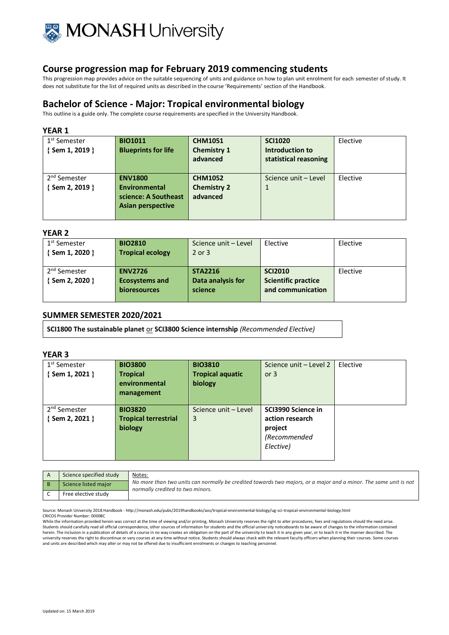

This progression map provides advice on the suitable sequencing of units and guidance on how to plan unit enrolment for each semester of study. It does not substitute for the list of required units as described in the course 'Requirements' section of the Handbook.

# **Bachelor of Science - Major: Tropical environmental biology**

This outline is a guide only. The complete course requirements are specified in the University Handbook.

#### **YEAR 1**

| 1 <sup>st</sup> Semester<br>Sem 1, 2019 } | <b>BIO1011</b><br><b>Blueprints for life</b>                                 | <b>CHM1051</b><br><b>Chemistry 1</b><br>advanced | <b>SCI1020</b><br>Introduction to<br>statistical reasoning | Elective |
|-------------------------------------------|------------------------------------------------------------------------------|--------------------------------------------------|------------------------------------------------------------|----------|
| 2 <sup>nd</sup> Semester<br>Sem 2, 2019 } | <b>ENV1800</b><br>Environmental<br>science: A Southeast<br>Asian perspective | <b>CHM1052</b><br><b>Chemistry 2</b><br>advanced | Science unit – Level<br>1                                  | Elective |

### **YEAR 2**

| 1 <sup>st</sup> Semester<br>Sem 1, 2020   | <b>BIO2810</b><br><b>Tropical ecology</b>                      | Science unit - Level<br>$2$ or $3$             | Elective                                                          | Elective |
|-------------------------------------------|----------------------------------------------------------------|------------------------------------------------|-------------------------------------------------------------------|----------|
| 2 <sup>nd</sup> Semester<br>Sem 2, 2020 } | <b>ENV2726</b><br><b>Ecosystems and</b><br><b>bioresources</b> | <b>STA2216</b><br>Data analysis for<br>science | <b>SCI2010</b><br><b>Scientific practice</b><br>and communication | Elective |

## **SUMMER SEMESTER 2020/2021**

**SCI1800 The sustainable planet** or **SCI3800 Science internship** *(Recommended Elective)*

### **YEAR 3**

| 1 <sup>st</sup> Semester | <b>BIO3800</b>              | <b>BIO3810</b>          | Science unit - Level 2 | Elective |
|--------------------------|-----------------------------|-------------------------|------------------------|----------|
| {Sem 1, 2021 }           | <b>Tropical</b>             | <b>Tropical aquatic</b> | or $3$                 |          |
|                          | environmental               | biology                 |                        |          |
|                          | management                  |                         |                        |          |
|                          |                             |                         |                        |          |
| 2 <sup>nd</sup> Semester | <b>BIO3820</b>              | Science unit - Level    | SCI3990 Science in     |          |
| $\{$ Sem 2, 2021 $\}$    | <b>Tropical terrestrial</b> | 3                       | action research        |          |
|                          | biology                     |                         | project                |          |
|                          |                             |                         | (Recommended           |          |
|                          |                             |                         | Elective)              |          |
|                          |                             |                         |                        |          |

| Science specified study | Notes:                                                                                                                                               |
|-------------------------|------------------------------------------------------------------------------------------------------------------------------------------------------|
| Science listed major    | No more than two units can normally be credited towards two majors, or a major and a minor. The same unit is not<br>normally credited to two minors. |
| Free elective study     |                                                                                                                                                      |

Source: Monash University 2018 Handbook - http://monash.edu/pubs/2019handbooks/aos/tropical-environmental-biology/ug-sci-tropical-environmental-biology.html CRICOS Provider Number: 00008C

While the information provided herein was correct at the time of viewing and/or printing, Monash University reserves the right to alter procedures, fees and regulations should the need arise. Students should carefully read all official correspondence, other sources of information for students and the official university noticeboards to be aware of changes to the information contained herein. The inclusion in a publication of details of a course in no way creates an obligation on the part of the university to teach it in any given year, or to teach it in the manner described. The university reserves the right to discontinue or vary courses at any time without notice. Students should always check with the relevant faculty officers when planning their courses. Some courses at any time without notice. and units are described which may alter or may not be offered due to insufficient enrolments or changes to teaching personnel.